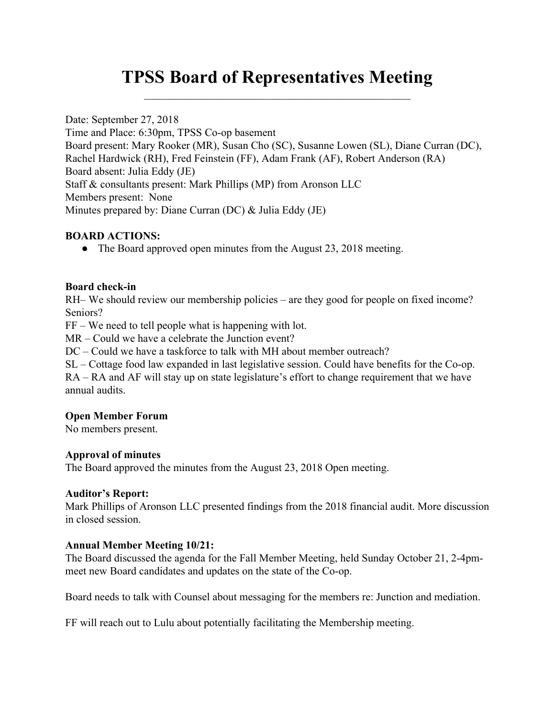# **TPSS Board of Representatives Meeting**  $\mathcal{L}_\text{max}$  and  $\mathcal{L}_\text{max}$  and  $\mathcal{L}_\text{max}$  and  $\mathcal{L}_\text{max}$  and  $\mathcal{L}_\text{max}$

Date: September 27, 2018 Time and Place: 6:30pm, TPSS Co-op basement Board present: Mary Rooker (MR), Susan Cho (SC), Susanne Lowen (SL), Diane Curran (DC), Rachel Hardwick (RH), Fred Feinstein (FF), Adam Frank (AF), Robert Anderson (RA) Board absent: Julia Eddy (JE) Staff & consultants present: Mark Phillips (MP) from Aronson LLC Members present: None Minutes prepared by: Diane Curran (DC) & Julia Eddy (JE)

#### **BOARD ACTIONS:**

• The Board approved open minutes from the August 23, 2018 meeting.

#### **Board check-in**

RH– We should review our membership policies – are they good for people on fixed income? Seniors?

FF – We need to tell people what is happening with lot.

MR – Could we have a celebrate the Junction event?

DC – Could we have a taskforce to talk with MH about member outreach?

SL – Cottage food law expanded in last legislative session. Could have benefits for the Co-op. RA – RA and AF will stay up on state legislature's effort to change requirement that we have annual audits.

#### **Open Member Forum**

No members present.

#### **Approval of minutes**

The Board approved the minutes from the August 23, 2018 Open meeting.

#### **Auditor's Report:**

Mark Phillips of Aronson LLC presented findings from the 2018 financial audit. More discussion in closed session.

#### **Annual Member Meeting 10/21:**

The Board discussed the agenda for the Fall Member Meeting, held Sunday October 21, 2-4pmmeet new Board candidates and updates on the state of the Co-op.

Board needs to talk with Counsel about messaging for the members re: Junction and mediation.

FF will reach out to Lulu about potentially facilitating the Membership meeting.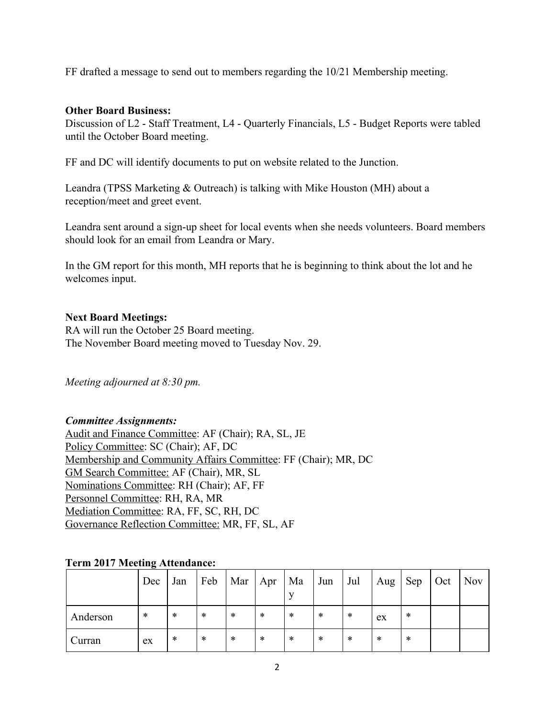FF drafted a message to send out to members regarding the 10/21 Membership meeting.

#### **Other Board Business:**

Discussion of L2 - Staff Treatment, L4 - Quarterly Financials, L5 - Budget Reports were tabled until the October Board meeting.

FF and DC will identify documents to put on website related to the Junction.

Leandra (TPSS Marketing & Outreach) is talking with Mike Houston (MH) about a reception/meet and greet event.

Leandra sent around a sign-up sheet for local events when she needs volunteers. Board members should look for an email from Leandra or Mary.

In the GM report for this month, MH reports that he is beginning to think about the lot and he welcomes input.

### **Next Board Meetings:**

RA will run the October 25 Board meeting. The November Board meeting moved to Tuesday Nov. 29.

*Meeting adjourned at 8:30 pm.*

#### *Committee Assignments:*

Audit and Finance Committee: AF (Chair); RA, SL, JE Policy Committee: SC (Chair); AF, DC Membership and Community Affairs Committee: FF (Chair); MR, DC GM Search Committee: AF (Chair), MR, SL Nominations Committee: RH (Chair); AF, FF Personnel Committee: RH, RA, MR Mediation Committee: RA, FF, SC, RH, DC Governance Reflection Committee: MR, FF, SL, AF

#### **Term 2017 Meeting Attendance:**

|          | Dec    | Jan | Feb | Mar | Apr | Ma | Jun | Jul | Aug | Sep | Oct | <b>Nov</b> |
|----------|--------|-----|-----|-----|-----|----|-----|-----|-----|-----|-----|------------|
| Anderson | $\ast$ | *   | ∗   | *   | *   | *  | ∗   | *   | ex  | *   |     |            |
| Curran   | ex     | *   | *   | *   | *   | *  | *   | *   | *   | *   |     |            |